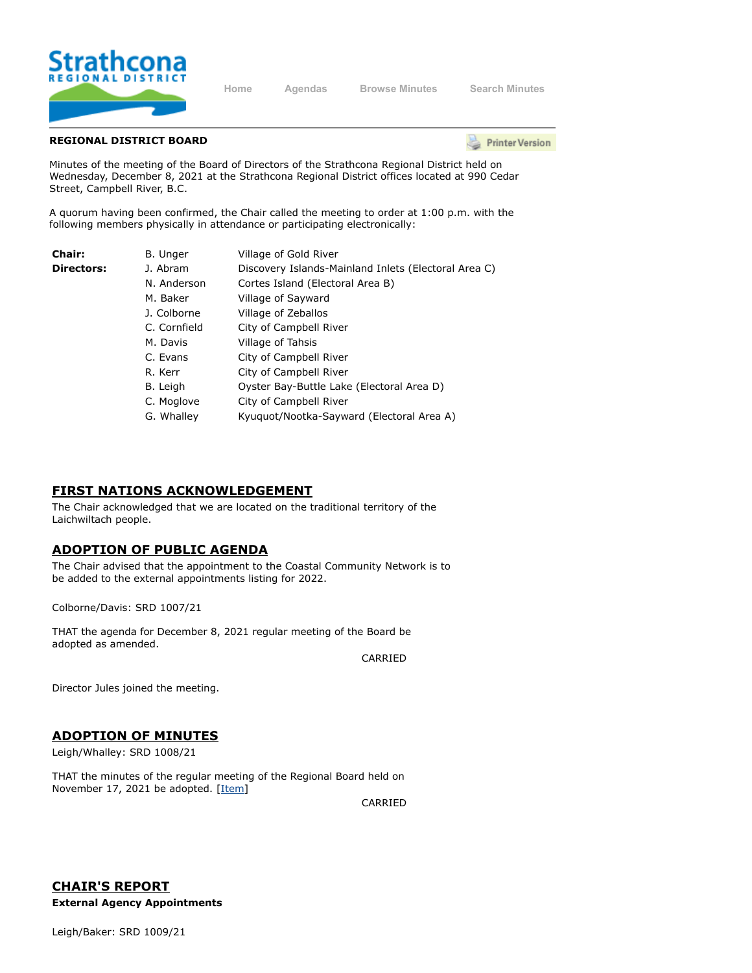

**[Home](https://srd.ca/) [Agendas](https://agenda.strathconard.ca/srdboardmeetings/content.asp?id=80) [Browse Minutes](https://agenda.strathconard.ca/srdboardmeetings/content.asp?id=81) [Search Minutes](https://agenda.strathconard.ca/srdboardmeetings/index.aspx)**

## **REGIONAL DISTRICT BOARD**

**Printer Version** 

Minutes of the meeting of the Board of Directors of the Strathcona Regional District held on Wednesday, December 8, 2021 at the Strathcona Regional District offices located at 990 Cedar Street, Campbell River, B.C.

A quorum having been confirmed, the Chair called the meeting to order at 1:00 p.m. with the following members physically in attendance or participating electronically:

| Chair:            | B. Unger     | Village of Gold River                                |
|-------------------|--------------|------------------------------------------------------|
| <b>Directors:</b> | J. Abram     | Discovery Islands-Mainland Inlets (Electoral Area C) |
|                   | N. Anderson  | Cortes Island (Electoral Area B)                     |
|                   | M. Baker     | Village of Sayward                                   |
|                   | J. Colborne  | Village of Zeballos                                  |
|                   | C. Cornfield | City of Campbell River                               |
|                   | M. Davis     | Village of Tahsis                                    |
|                   | C. Evans     | City of Campbell River                               |
|                   | R. Kerr      | City of Campbell River                               |
|                   | B. Leigh     | Oyster Bay-Buttle Lake (Electoral Area D)            |
|                   | C. Moglove   | City of Campbell River                               |
|                   | G. Whalley   | Kyuquot/Nootka-Sayward (Electoral Area A)            |

## **FIRST NATIONS ACKNOWLEDGEMENT**

The Chair acknowledged that we are located on the traditional territory of the Laichwiltach people.

# **ADOPTION OF PUBLIC AGENDA**

The Chair advised that the appointment to the Coastal Community Network is to be added to the external appointments listing for 2022.

Colborne/Davis: SRD 1007/21

THAT the agenda for December 8, 2021 regular meeting of the Board be adopted as amended.

CARRIED

Director Jules joined the meeting.

# **ADOPTION OF MINUTES**

Leigh/Whalley: SRD 1008/21

THAT the minutes of the regular meeting of the Regional Board held on November 17, 2021 be adopted. [[Item\]](https://agenda.strathconard.ca/SRDAttachments/SRDBoard/Open/BRD/08-Dec-21/20211117-BOARD-MINUTES-REVISED.pdf)

CARRIED

**CHAIR'S REPORT External Agency Appointments**

Leigh/Baker: SRD 1009/21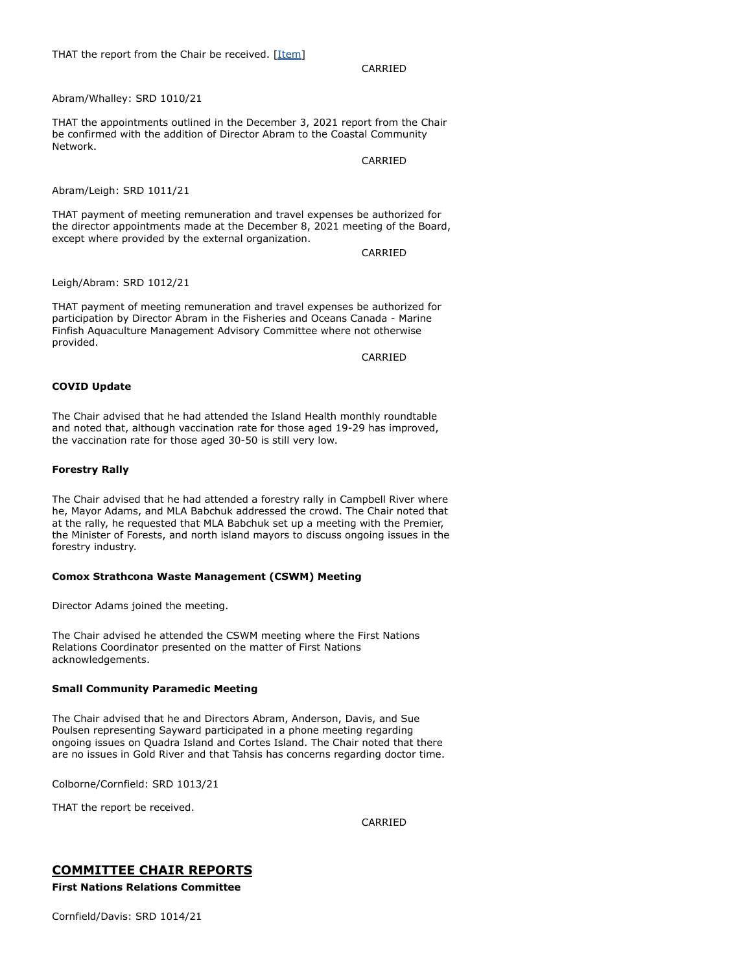## CARRIED

Abram/Whalley: SRD 1010/21

THAT the appointments outlined in the December 3, 2021 report from the Chair be confirmed with the addition of Director Abram to the Coastal Community Network.

CARRIED

Abram/Leigh: SRD 1011/21

THAT payment of meeting remuneration and travel expenses be authorized for the director appointments made at the December 8, 2021 meeting of the Board, except where provided by the external organization.

CARRIED

Leigh/Abram: SRD 1012/21

THAT payment of meeting remuneration and travel expenses be authorized for participation by Director Abram in the Fisheries and Oceans Canada - Marine Finfish Aquaculture Management Advisory Committee where not otherwise provided.

CARRIED

#### **COVID Update**

The Chair advised that he had attended the Island Health monthly roundtable and noted that, although vaccination rate for those aged 19-29 has improved, the vaccination rate for those aged 30-50 is still very low.

#### **Forestry Rally**

The Chair advised that he had attended a forestry rally in Campbell River where he, Mayor Adams, and MLA Babchuk addressed the crowd. The Chair noted that at the rally, he requested that MLA Babchuk set up a meeting with the Premier, the Minister of Forests, and north island mayors to discuss ongoing issues in the forestry industry.

#### **Comox Strathcona Waste Management (CSWM) Meeting**

Director Adams joined the meeting.

The Chair advised he attended the CSWM meeting where the First Nations Relations Coordinator presented on the matter of First Nations acknowledgements.

#### **Small Community Paramedic Meeting**

The Chair advised that he and Directors Abram, Anderson, Davis, and Sue Poulsen representing Sayward participated in a phone meeting regarding ongoing issues on Quadra Island and Cortes Island. The Chair noted that there are no issues in Gold River and that Tahsis has concerns regarding doctor time.

Colborne/Cornfield: SRD 1013/21

THAT the report be received.

CARRIED

## **COMMITTEE CHAIR REPORTS**

**First Nations Relations Committee**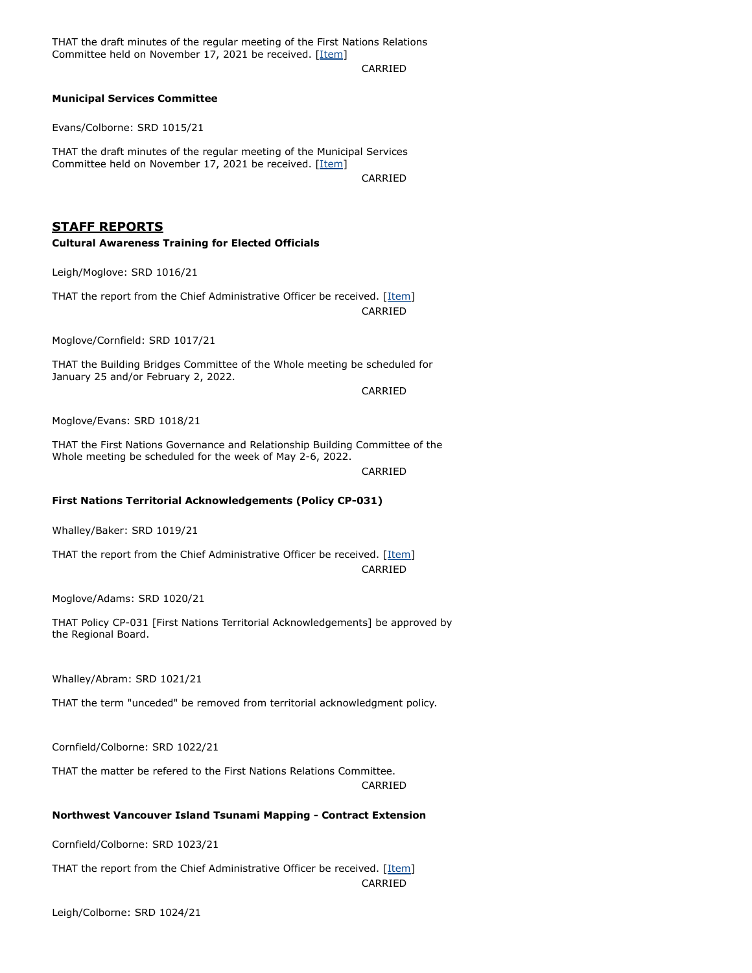THAT the draft minutes of the regular meeting of the First Nations Relations Committee held on November 17, 2021 be received. [[Item\]](https://agenda.strathconard.ca/SRDAttachments/SRDBoard/Open/BRD/08-Dec-21/20211117-FNRC-MINUTES.pdf)

CARRIED

#### **Municipal Services Committee**

Evans/Colborne: SRD 1015/21

THAT the draft minutes of the regular meeting of the Municipal Services Committee held on November 17, 2021 be received. [[Item\]](https://agenda.strathconard.ca/SRDAttachments/SRDBoard/Open/BRD/08-Dec-21/20211117-MSC-MINUTES-REVISED.pdf)

CARRIED

## **STAFF REPORTS**

#### **Cultural Awareness Training for Elected Officials**

Leigh/Moglove: SRD 1016/21

THAT the report from the Chief Administrative Officer be received. [[Item](https://agenda.strathconard.ca/SRDAttachments/SRDBoard/Open/BRD/08-Dec-21/20211201-Cultural-Awareness_1.PDF)] CARRIED

Moglove/Cornfield: SRD 1017/21

THAT the Building Bridges Committee of the Whole meeting be scheduled for January 25 and/or February 2, 2022.

CARRIED

Moglove/Evans: SRD 1018/21

THAT the First Nations Governance and Relationship Building Committee of the Whole meeting be scheduled for the week of May 2-6, 2022.

CARRIED

#### **First Nations Territorial Acknowledgements (Policy CP-031)**

Whalley/Baker: SRD 1019/21

THAT the report from the Chief Administrative Officer be received. [[Item](https://agenda.strathconard.ca/SRDAttachments/SRDBoard/Open/BRD/08-Dec-21/20211122-Policy-CP-031-FN-Territorial-Acknowledgements.PDF)] CARRIED

Moglove/Adams: SRD 1020/21

THAT Policy CP-031 [First Nations Territorial Acknowledgements] be approved by the Regional Board.

Whalley/Abram: SRD 1021/21

THAT the term "unceded" be removed from territorial acknowledgment policy.

Cornfield/Colborne: SRD 1022/21

THAT the matter be refered to the First Nations Relations Committee.

CARRIED

## **Northwest Vancouver Island Tsunami Mapping - Contract Extension**

Cornfield/Colborne: SRD 1023/21

THAT the report from the Chief Administrative Officer be received. [[Item](https://agenda.strathconard.ca/SRDAttachments/SRDBoard/Open/BRD/08-Dec-21/20211126-NWVI-Tsunami-Mapping-Contract-Extension.PDF)] CARRIED

Leigh/Colborne: SRD 1024/21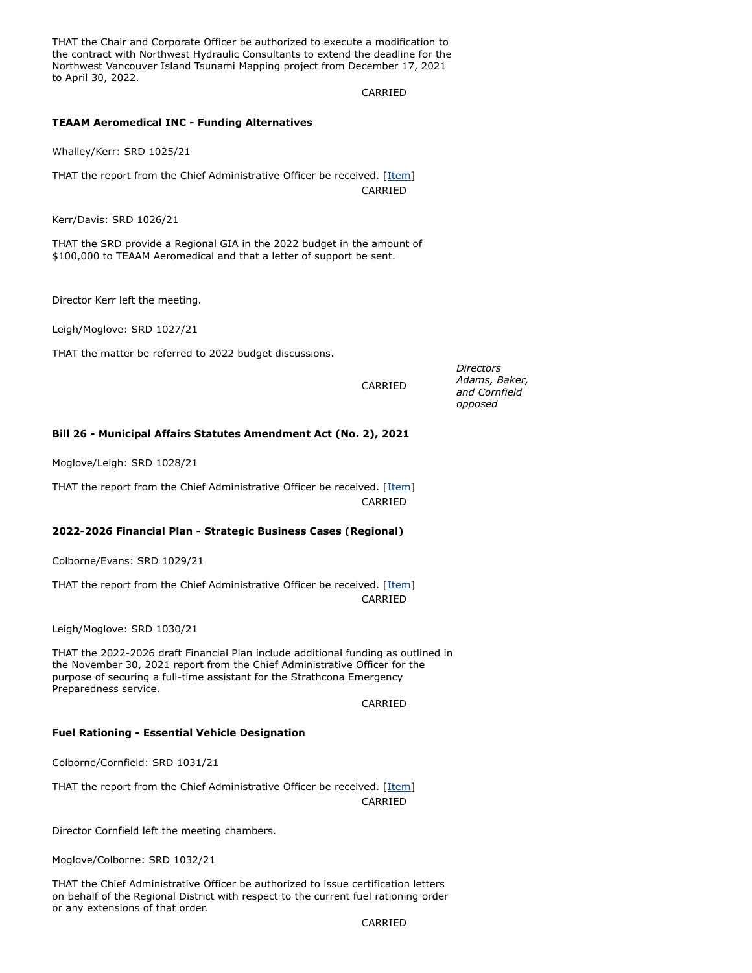THAT the Chair and Corporate Officer be authorized to execute a modification to the contract with Northwest Hydraulic Consultants to extend the deadline for the Northwest Vancouver Island Tsunami Mapping project from December 17, 2021 to April 30, 2022.

#### CARRIED

#### **TEAAM Aeromedical INC - Funding Alternatives**

Whalley/Kerr: SRD 1025/21

THAT the report from the Chief Administrative Officer be received. [[Item](https://agenda.strathconard.ca/SRDAttachments/SRDBoard/Open/BRD/08-Dec-21/20211125-TEAAM-Aeromedical-Inc-Funding-Alternatives.PDF)] CARRIED

Kerr/Davis: SRD 1026/21

THAT the SRD provide a Regional GIA in the 2022 budget in the amount of \$100,000 to TEAAM Aeromedical and that a letter of support be sent.

Director Kerr left the meeting.

Leigh/Moglove: SRD 1027/21

THAT the matter be referred to 2022 budget discussions.

CARRIED

*Directors Adams, Baker, and Cornfield opposed*

## **Bill 26 - Municipal Affairs Statutes Amendment Act (No. 2), 2021**

Moglove/Leigh: SRD 1028/21

THAT the report from the Chief Administrative Officer be received. [[Item](https://agenda.strathconard.ca/SRDAttachments/SRDBoard/Open/BRD/08-Dec-21/20211129-Bill-26.PDF)] CARRIED

#### **2022-2026 Financial Plan - Strategic Business Cases (Regional)**

Colborne/Evans: SRD 1029/21

THAT the report from the Chief Administrative Officer be received. [[Item](https://agenda.strathconard.ca/SRDAttachments/SRDBoard/Open/BRD/08-Dec-21/20211130-2022-26-Strategic-Business-Case.PDF)] CARRIED

Leigh/Moglove: SRD 1030/21

THAT the 2022-2026 draft Financial Plan include additional funding as outlined in the November 30, 2021 report from the Chief Administrative Officer for the purpose of securing a full-time assistant for the Strathcona Emergency Preparedness service.

CARRIED

#### **Fuel Rationing - Essential Vehicle Designation**

Colborne/Cornfield: SRD 1031/21

THAT the report from the Chief Administrative Officer be received. [[Item](https://agenda.strathconard.ca/SRDAttachments/SRDBoard/Open/BRD/08-Dec-21/20211124-Fuel-Rationing.PDF)] CARRIED

Director Cornfield left the meeting chambers.

Moglove/Colborne: SRD 1032/21

THAT the Chief Administrative Officer be authorized to issue certification letters on behalf of the Regional District with respect to the current fuel rationing order or any extensions of that order.

CARRIED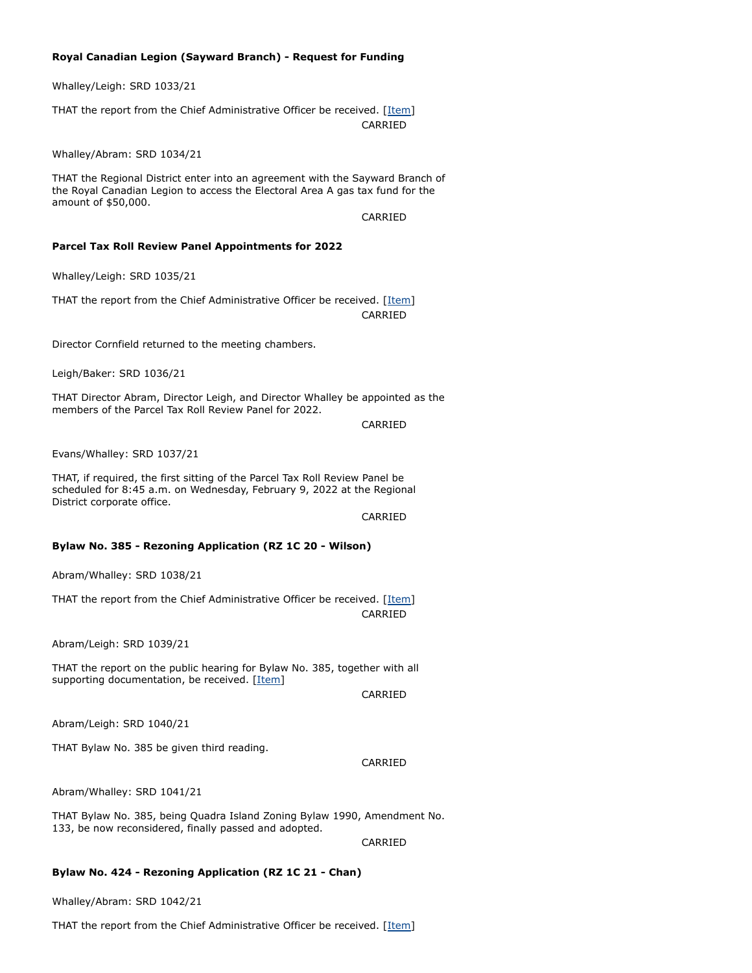### **Royal Canadian Legion (Sayward Branch) - Request for Funding**

Whalley/Leigh: SRD 1033/21

THAT the report from the Chief Administrative Officer be received. [[Item](https://agenda.strathconard.ca/SRDAttachments/SRDBoard/Open/BRD/08-Dec-21/20211118-Sayward-Legion-Request-for-Funding.PDF)] CARRIED

Whalley/Abram: SRD 1034/21

THAT the Regional District enter into an agreement with the Sayward Branch of the Royal Canadian Legion to access the Electoral Area A gas tax fund for the amount of \$50,000.

CARRIED

#### **Parcel Tax Roll Review Panel Appointments for 2022**

Whalley/Leigh: SRD 1035/21

THAT the report from the Chief Administrative Officer be received. [[Item](https://agenda.strathconard.ca/SRDAttachments/SRDBoard/Open/BRD/08-Dec-21/20211118-Parcel-Tax-Panel-Appointments.PDF)] CARRIED

Director Cornfield returned to the meeting chambers.

Leigh/Baker: SRD 1036/21

THAT Director Abram, Director Leigh, and Director Whalley be appointed as the members of the Parcel Tax Roll Review Panel for 2022.

CARRIED

Evans/Whalley: SRD 1037/21

THAT, if required, the first sitting of the Parcel Tax Roll Review Panel be scheduled for 8:45 a.m. on Wednesday, February 9, 2022 at the Regional District corporate office.

CARRIED

### **Bylaw No. 385 - Rezoning Application (RZ 1C 20 - Wilson)**

Abram/Whalley: SRD 1038/21

THAT the report from the Chief Administrative Officer be received. [[Item](https://agenda.strathconard.ca/SRDAttachments/SRDBoard/Open/BRD/08-Dec-21/20211130-Bylaw-No_-385-Wilson.PDF)] CARRIED

Abram/Leigh: SRD 1039/21

THAT the report on the public hearing for Bylaw No. 385, together with all supporting documentation, be received. [\[Item](https://agenda.strathconard.ca/SRDAttachments/SRDBoard/Open/BRD/08-Dec-21/Bylaw-No_-385-PH-Report-and-Binder.pdf)]

CARRIED

Abram/Leigh: SRD 1040/21

THAT Bylaw No. 385 be given third reading.

CARRIED

Abram/Whalley: SRD 1041/21

THAT Bylaw No. 385, being Quadra Island Zoning Bylaw 1990, Amendment No. 133, be now reconsidered, finally passed and adopted.

CARRIED

#### **Bylaw No. 424 - Rezoning Application (RZ 1C 21 - Chan)**

Whalley/Abram: SRD 1042/21

THAT the report from the Chief Administrative Officer be received. [[Item](https://agenda.strathconard.ca/SRDAttachments/SRDBoard/Open/BRD/08-Dec-21/20211130-Bylaw-No_-424-Chan.PDF)]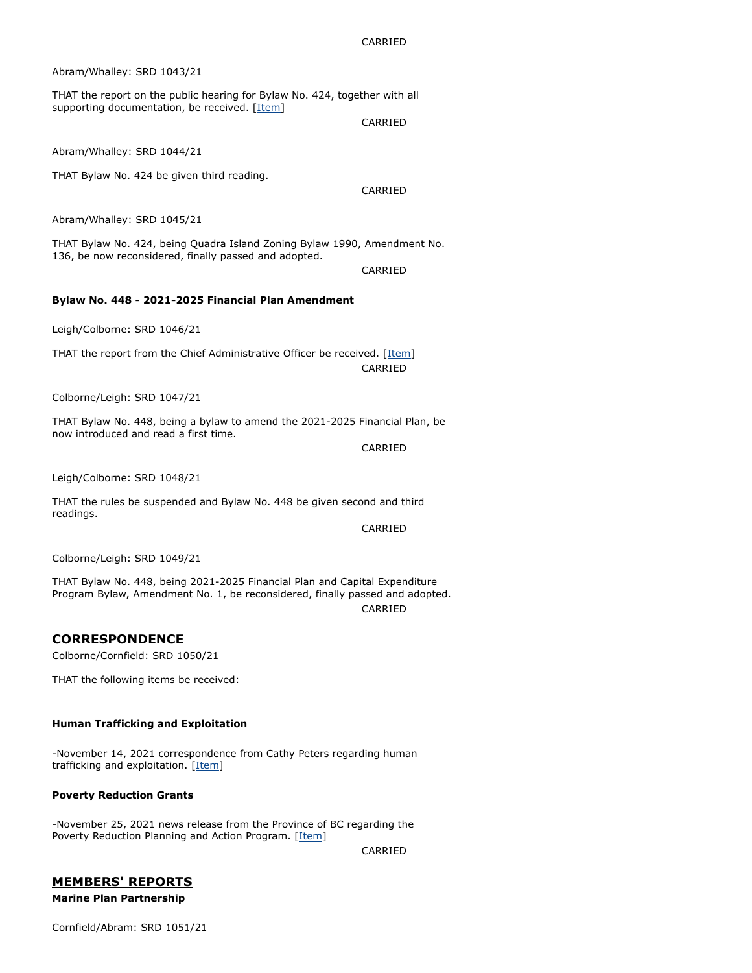CARRIED

Abram/Whalley: SRD 1043/21

THAT the report on the public hearing for Bylaw No. 424, together with all supporting documentation, be received. [\[Item](https://agenda.strathconard.ca/SRDAttachments/SRDBoard/Open/BRD/08-Dec-21/PH-Report-and-Binder-COMBINED.pdf)]

CARRIED

Abram/Whalley: SRD 1044/21

THAT Bylaw No. 424 be given third reading.

CARRIED

Abram/Whalley: SRD 1045/21

THAT Bylaw No. 424, being Quadra Island Zoning Bylaw 1990, Amendment No. 136, be now reconsidered, finally passed and adopted.

CARRIED

#### **Bylaw No. 448 - 2021-2025 Financial Plan Amendment**

Leigh/Colborne: SRD 1046/21

THAT the report from the Chief Administrative Officer be received. [[Item](https://agenda.strathconard.ca/SRDAttachments/SRDBoard/Open/BRD/08-Dec-21/20211122-Bylaw-No_-448-Financial-Plan-Amendment.pdf)] CARRIED

Colborne/Leigh: SRD 1047/21

THAT Bylaw No. 448, being a bylaw to amend the 2021-2025 Financial Plan, be now introduced and read a first time.

CARRIED

Leigh/Colborne: SRD 1048/21

THAT the rules be suspended and Bylaw No. 448 be given second and third readings.

CARRIED

Colborne/Leigh: SRD 1049/21

THAT Bylaw No. 448, being 2021-2025 Financial Plan and Capital Expenditure Program Bylaw, Amendment No. 1, be reconsidered, finally passed and adopted.

CARRIED

## **CORRESPONDENCE**

Colborne/Cornfield: SRD 1050/21

THAT the following items be received:

#### **Human Trafficking and Exploitation**

-November 14, 2021 correspondence from Cathy Peters regarding human trafficking and exploitation. [[Item](https://agenda.strathconard.ca/SRDAttachments/SRDBoard/Open/BRD/08-Dec-21/CPeters---Vancouver-Police-Board-meeting.pdf)]

#### **Poverty Reduction Grants**

-November 25, 2021 news release from the Province of BC regarding the Poverty Reduction Planning and Action Program. [[Item](https://agenda.strathconard.ca/SRDAttachments/SRDBoard/Open/BRD/08-Dec-21/PovertyReductionPlanningAndActionProgram_MSDPR_01122021.pdf)]

CARRIED

# **MEMBERS' REPORTS**

**Marine Plan Partnership**

Cornfield/Abram: SRD 1051/21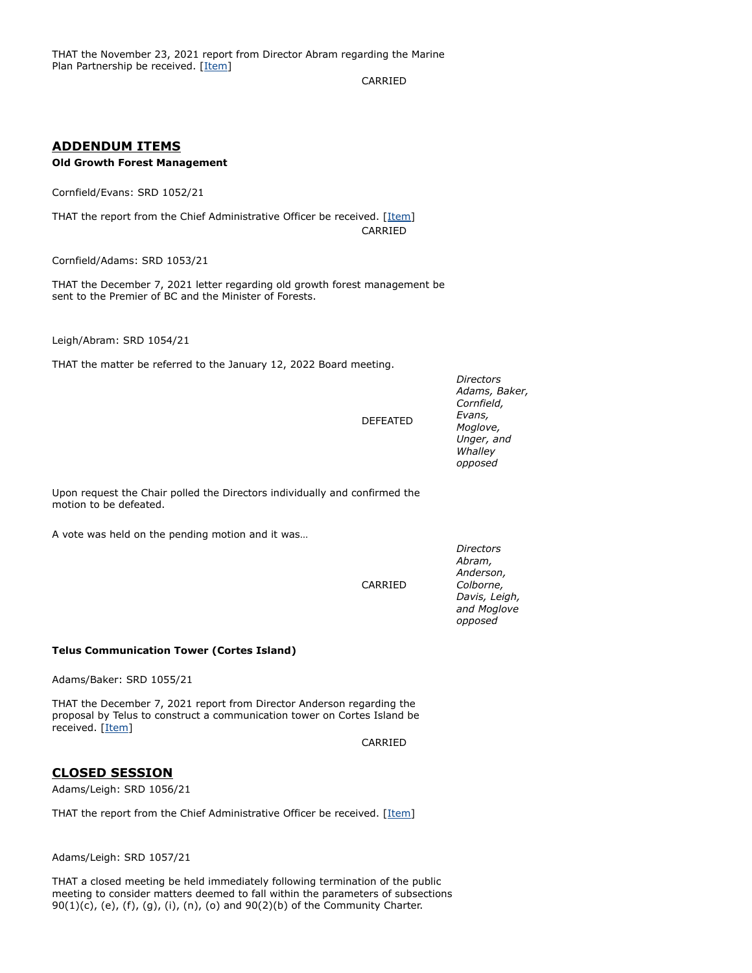CARRIED

## **ADDENDUM ITEMS**

## **Old Growth Forest Management**

Cornfield/Evans: SRD 1052/21

THAT the report from the Chief Administrative Officer be received. [[Item](https://agenda.strathconard.ca/SRDAttachments/SRDBoard/Open/BRD/08-Dec-21/Binder1.pdf)] CARRIED

Cornfield/Adams: SRD 1053/21

THAT the December 7, 2021 letter regarding old growth forest management be sent to the Premier of BC and the Minister of Forests.

Leigh/Abram: SRD 1054/21

THAT the matter be referred to the January 12, 2022 Board meeting.

DEFEATED

*Directors Adams, Baker, Cornfield, Evans, Moglove, Unger, and Whalley opposed*

Upon request the Chair polled the Directors individually and confirmed the motion to be defeated.

A vote was held on the pending motion and it was…

CARRIED

*Abram, Anderson, Colborne, Davis, Leigh, and Moglove opposed*

*Directors*

**Telus Communication Tower (Cortes Island)**

Adams/Baker: SRD 1055/21

THAT the December 7, 2021 report from Director Anderson regarding the proposal by Telus to construct a communication tower on Cortes Island be received. [\[Item\]](https://agenda.strathconard.ca/SRDAttachments/SRDBoard/Open/BRD/08-Dec-21/20211207-Anderson-re-Telus-Tower-_COMBINED_.pdf)

CARRIED

## **CLOSED SESSION**

Adams/Leigh: SRD 1056/21

THAT the report from the Chief Administrative Officer be received. [[Item](https://agenda.strathconard.ca/SRDAttachments/SRDBoard/Open/BRD/08-Dec-21/20211202-Proposed-Closed-Session.PDF)]

Adams/Leigh: SRD 1057/21

THAT a closed meeting be held immediately following termination of the public meeting to consider matters deemed to fall within the parameters of subsections 90(1)(c), (e), (f), (g), (i), (n), (o) and 90(2)(b) of the Community Charter.